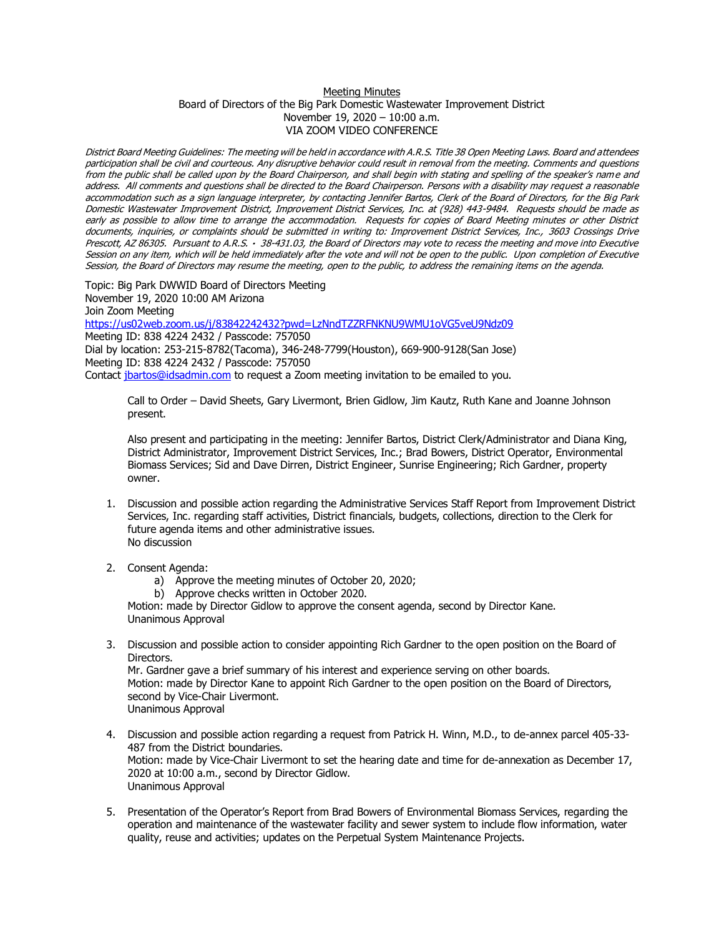## Meeting Minutes Board of Directors of the Big Park Domestic Wastewater Improvement District November 19, 2020 – 10:00 a.m. VIA ZOOM VIDEO CONFERENCE

District Board Meeting Guidelines: The meeting will be held in accordance with A.R.S. Title 38 Open Meeting Laws. Board and attendees participation shall be civil and courteous. Any disruptive behavior could result in removal from the meeting. Comments and questions from the public shall be called upon by the Board Chairperson, and shall begin with stating and spelling of the speaker's name and address. All comments and questions shall be directed to the Board Chairperson. Persons with a disability may request a reasonable accommodation such as a sign language interpreter, by contacting Jennifer Bartos, Clerk of the Board of Directors, for the Big Park Domestic Wastewater Improvement District, Improvement District Services, Inc. at (928) 443-9484. Requests should be made as early as possible to allow time to arrange the accommodation. Requests for copies of Board Meeting minutes or other District documents, inquiries, or complaints should be submitted in writing to: Improvement District Services, Inc., 3603 Crossings Drive Prescott, AZ 86305. Pursuant to A.R.S. · 38-431.03, the Board of Directors may vote to recess the meeting and move into Executive Session on any item, which will be held immediately after the vote and will not be open to the public. Upon completion of Executive Session, the Board of Directors may resume the meeting, open to the public, to address the remaining items on the agenda.

Topic: Big Park DWWID Board of Directors Meeting November 19, 2020 10:00 AM Arizona Join Zoom Meeting <https://us02web.zoom.us/j/83842242432?pwd=LzNndTZZRFNKNU9WMU1oVG5veU9Ndz09> Meeting ID: 838 4224 2432 / Passcode: 757050 Dial by location: 253-215-8782(Tacoma), 346-248-7799(Houston), 669-900-9128(San Jose)

Meeting ID: 838 4224 2432 / Passcode: 757050

Contact *jbartos@idsadmin.com* to request a Zoom meeting invitation to be emailed to you.

Call to Order – David Sheets, Gary Livermont, Brien Gidlow, Jim Kautz, Ruth Kane and Joanne Johnson present.

Also present and participating in the meeting: Jennifer Bartos, District Clerk/Administrator and Diana King, District Administrator, Improvement District Services, Inc.; Brad Bowers, District Operator, Environmental Biomass Services; Sid and Dave Dirren, District Engineer, Sunrise Engineering; Rich Gardner, property owner.

- 1. Discussion and possible action regarding the Administrative Services Staff Report from Improvement District Services, Inc. regarding staff activities, District financials, budgets, collections, direction to the Clerk for future agenda items and other administrative issues. No discussion
- 2. Consent Agenda:
	- a) Approve the meeting minutes of October 20, 2020;
	- b) Approve checks written in October 2020.

Motion: made by Director Gidlow to approve the consent agenda, second by Director Kane. Unanimous Approval

3. Discussion and possible action to consider appointing Rich Gardner to the open position on the Board of Directors.

Mr. Gardner gave a brief summary of his interest and experience serving on other boards. Motion: made by Director Kane to appoint Rich Gardner to the open position on the Board of Directors, second by Vice-Chair Livermont. Unanimous Approval

- 4. Discussion and possible action regarding a request from Patrick H. Winn, M.D., to de-annex parcel 405-33- 487 from the District boundaries. Motion: made by Vice-Chair Livermont to set the hearing date and time for de-annexation as December 17, 2020 at 10:00 a.m., second by Director Gidlow. Unanimous Approval
- 5. Presentation of the Operator's Report from Brad Bowers of Environmental Biomass Services, regarding the operation and maintenance of the wastewater facility and sewer system to include flow information, water quality, reuse and activities; updates on the Perpetual System Maintenance Projects.